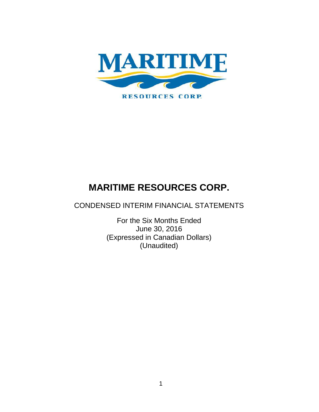

CONDENSED INTERIM FINANCIAL STATEMENTS

For the Six Months Ended June 30, 2016 (Expressed in Canadian Dollars) (Unaudited)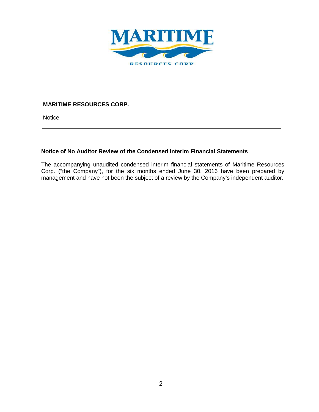

**Notice** 

# **Notice of No Auditor Review of the Condensed Interim Financial Statements**

The accompanying unaudited condensed interim financial statements of Maritime Resources Corp. ("the Company"), for the six months ended June 30, 2016 have been prepared by management and have not been the subject of a review by the Company's independent auditor.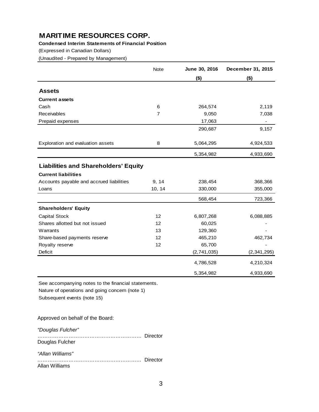## **Condensed Interim Statements of Financial Position**

(Expressed in Canadian Dollars)

(Unaudited - Prepared by Management)

|                                             | Note   | June 30, 2016 | December 31, 2015 |
|---------------------------------------------|--------|---------------|-------------------|
|                                             |        | $($ \$)       | $($ \$)           |
| <b>Assets</b>                               |        |               |                   |
| <b>Current assets</b>                       |        |               |                   |
| Cash                                        | 6      | 264,574       | 2,119             |
| Receivables                                 | 7      | 9,050         | 7,038             |
| Prepaid expenses                            |        | 17,063        |                   |
|                                             |        | 290,687       | 9,157             |
| Exploration and evaluation assets           | 8      | 5,064,295     | 4,924,533         |
|                                             |        | 5,354,982     | 4,933,690         |
| <b>Liabilities and Shareholders' Equity</b> |        |               |                   |
| <b>Current liabilities</b>                  |        |               |                   |
| Accounts payable and accrued liabilities    | 9, 14  | 238,454       | 368,366           |
| Loans                                       | 10, 14 | 330,000       | 355,000           |
|                                             |        | 568,454       | 723,366           |
| <b>Shareholders' Equity</b>                 |        |               |                   |
| <b>Capital Stock</b>                        | 12     | 6,807,268     | 6,088,885         |
| Shares allotted but not issued              | 12     | 60,025        |                   |
| Warrants                                    | 13     | 129,360       |                   |
| Share-based payments reserve                | 12     | 465,210       | 462,734           |
| Royalty reserve                             | 12     | 65,700        |                   |
| Deficit                                     |        | (2,741,035)   | (2, 341, 295)     |
|                                             |        | 4,786,528     | 4,210,324         |
|                                             |        | 5,354,982     | 4,933,690         |

See accompanying notes to the financial statements. Nature of operations and going concern (note 1)

Subsequent events (note 15)

Approved on behalf of the Board:

*"Douglas Fulcher"*

…………………………………………………… Director Douglas Fulcher

*"Allan Williams" ……………………………………………………* Director Allan Williams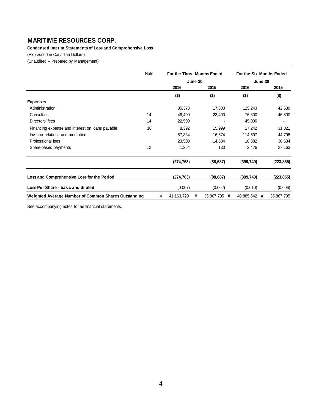**Condensed Interim Statements of Loss and Comprehensive Loss**

(Expressed in Canadian Dollars)

(Unaudited -- Prepared by Management)

|                                                      | Note |   | For the Three Months Ended |         |                 |            | For the Six Months Ended |  |
|------------------------------------------------------|------|---|----------------------------|---------|-----------------|------------|--------------------------|--|
|                                                      |      |   |                            | June 30 |                 | June 30    |                          |  |
|                                                      |      |   | 2016                       |         | 2015            | 2016       | 2015                     |  |
|                                                      |      |   | $($ \$)                    |         | $($ \$)         | $($ \$)    | $($ \$)                  |  |
| <b>Expenses</b>                                      |      |   |                            |         |                 |            |                          |  |
| Administration                                       |      |   | 85,373                     |         | 17,800          | 125,243    | 42,639                   |  |
| Consulting                                           | 14   |   | 46,400                     |         | 23,400          | 76,800     | 46,800                   |  |
| Directors' fees                                      | 14   |   | 22,500                     |         |                 | 45,000     |                          |  |
| Financing expense and interest on loans payable      | 10   |   | 8,392                      |         | 15,999          | 17,242     | 31,821                   |  |
| Investor relations and promotion                     |      |   | 87,334                     |         | 16,674          | 114,597    | 44,798                   |  |
| Professional fees                                    |      |   | 23,500                     |         | 14,684          | 18,382     | 30,634                   |  |
| Share-based payments                                 | 12   |   | 1,264                      |         | 130             | 2,476      | 27,163                   |  |
|                                                      |      |   | (274, 763)                 |         | (88, 687)       | (399, 740) | (223, 855)               |  |
| Loss and Comprehensive Loss for the Period           |      |   | (274, 763)                 |         | (88, 687)       | (399, 740) | (223, 855)               |  |
| Loss Per Share - basic and diluted                   |      |   | (0.007)                    |         | (0.002)         | (0.010)    | (0.006)                  |  |
| Weighted Average Number of Common Shares Outstanding |      | # | 41, 163, 729               | #       | 35,867,795<br># | 40,885,542 | 35,867,795<br>#          |  |

See accompanying notes to the financial statements.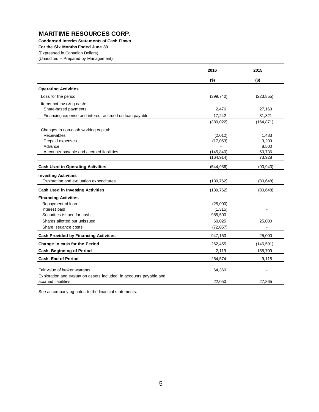**Condensed Interim Statements of Cash Flows**

**For the Six Months Ended June 30**

(Expressed in Canadian Dollars)

(Unaudited -- Prepared by Management)

|                                                                                           | 2016       | 2015       |
|-------------------------------------------------------------------------------------------|------------|------------|
|                                                                                           | $($ \$)    | $($ \$)    |
| <b>Operating Activities</b>                                                               |            |            |
| Loss for the period                                                                       | (399, 740) | (223, 855) |
| Items not involving cash:                                                                 |            |            |
| Share-based payments                                                                      | 2,476      | 27,163     |
| Financing expense and interest accrued on loan payable                                    | 17,242     | 31,821     |
|                                                                                           | (380, 022) | (164, 871) |
| Changes in non-cash working capital:                                                      |            |            |
| Receivables                                                                               | (2,012)    | 1,483      |
| Prepaid expenses                                                                          | (17,063)   | 3,209      |
| Advance                                                                                   |            | 8,500      |
| Accounts payable and accrued liabilities                                                  | (145, 840) | 60,736     |
|                                                                                           | (164, 914) | 73,928     |
| <b>Cash Used in Operating Activities</b>                                                  | (544, 936) | (90, 943)  |
| <b>Investing Activities</b>                                                               |            |            |
| Exploration and evaluation expenditures                                                   | (139, 762) | (80, 648)  |
| <b>Cash Used in Investing Activities</b>                                                  | (139, 762) | (80, 648)  |
| <b>Financing Activities</b>                                                               |            |            |
| Repayment of loan                                                                         | (25,000)   |            |
| Interest paid                                                                             | (1, 315)   |            |
| Securities issued for cash                                                                | 985,500    |            |
| Shares allotted but unissued                                                              | 60,025     | 25,000     |
| Share issuance costs                                                                      | (72, 057)  |            |
| <b>Cash Provided by Financing Activities</b>                                              | 947,153    | 25,000     |
| Change in cash for the Period                                                             | 262,455    | (146, 591) |
| Cash, Beginning of Period                                                                 | 2,119      | 155,709    |
| Cash, End of Period                                                                       | 264,574    | 9,118      |
| Fair value of broker warrants                                                             | 64,360     |            |
|                                                                                           |            |            |
| Exploration and evaluation assets included in accounts payable and<br>accrued liabilities | 22,050     | 27,865     |
|                                                                                           |            |            |

See accompanying notes to the financial statements.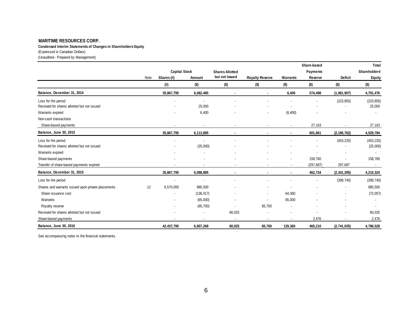**Condensed Interim Statements of Changes in Shareholders Equity**

(Expressed in Canadian Dollars)

(Unaudited-- Prepared by Management)

|                                                    |      |                      |                          |                          |                        |                          | Share-based              |                          | Total                    |
|----------------------------------------------------|------|----------------------|--------------------------|--------------------------|------------------------|--------------------------|--------------------------|--------------------------|--------------------------|
|                                                    |      | <b>Capital Stock</b> |                          | <b>Shares Allotted</b>   |                        |                          | <b>Payments</b>          |                          | Shareholders'            |
|                                                    | Note | Shares (#)           | Amount                   | but not Issued           | <b>Royalty Reserve</b> | Warrants                 | Reserve                  | <b>Deficit</b>           | <b>Equity</b>            |
|                                                    |      | (#)                  | $($ \$)                  | $($ \$)                  | $($ \$)                | $($ \$)                  | $($ \$)                  | $($ \$)                  | $($ \$)                  |
| Balance, December 31, 2014                         |      | 35,867,795           | 6,082,485                |                          |                        | 6,400                    | 574,498                  | (1,961,907)              | 4,701,476                |
| Loss for the period                                |      |                      |                          |                          |                        |                          |                          | (223, 855)               | (223, 855)               |
| Received for shares allotted but not issued        |      |                      | 25,000                   |                          |                        |                          |                          |                          | 25,000                   |
| Warrants expired                                   |      |                      | 6,400                    |                          |                        | (6, 400)                 |                          |                          | $\overline{\phantom{a}}$ |
| Non-cash transactions                              |      |                      |                          |                          |                        |                          |                          |                          |                          |
| Share-based payments                               |      |                      |                          |                          |                        |                          | 27,163                   |                          | 27,163                   |
| Balance, June 30, 2015                             |      | 35,867,795           | 6,113,885                |                          |                        |                          | 601,661                  | (2, 185, 762)            | 4,529,784                |
| Loss for the period                                |      |                      |                          |                          |                        |                          |                          | (453, 220)               | (453, 220)               |
| Received for shares allotted but not issued        |      |                      | (25,000)                 |                          |                        |                          |                          |                          | (25,000)                 |
| Warrants expired                                   |      |                      |                          |                          |                        | $\overline{\phantom{a}}$ | $\overline{\phantom{a}}$ | $\overline{\phantom{a}}$ | $\overline{\phantom{a}}$ |
| Share-based payments                               |      |                      |                          |                          |                        | $\overline{\phantom{a}}$ | 158,760                  |                          | 158,760                  |
| Transfer of share-based payments expired           |      |                      |                          |                          |                        | $\overline{\phantom{a}}$ | (297, 687)               | 297,687                  | $\sim$                   |
| Balance, December 31, 2015                         |      | 35,867,795           | 6,088,885                | $\blacksquare$           | $\sim$                 | $\blacksquare$           | 462,734                  | (2,341,295)              | 4,210,324                |
| Loss for the period                                |      |                      |                          |                          |                        |                          |                          | (399, 740)               | (399, 740)               |
| Shares and warrants issued upon private placements | 12   | 6,570,000            | 985,500                  |                          |                        |                          |                          |                          | 985,500                  |
| Share issuance cost                                |      |                      | (136, 417)               |                          |                        | 64,360                   |                          |                          | (72, 057)                |
| Warrants                                           |      |                      | (65,000)                 |                          |                        | 65,000                   |                          |                          |                          |
| Royalty reserve                                    |      | ٠                    | (65, 700)                | $\blacksquare$           | 65,700                 | $\overline{\phantom{a}}$ |                          | $\blacksquare$           |                          |
| Received for shares allotted but not issued        |      |                      |                          | 60,025                   |                        |                          |                          |                          | 60,025                   |
| Share-based payments                               |      | ٠                    | $\overline{\phantom{a}}$ | $\overline{\phantom{a}}$ | ٠                      | $\overline{\phantom{a}}$ | 2,476                    | $\blacksquare$           | 2,476                    |
| Balance, June 30, 2016                             |      | 42,437,795           | 6,807,268                | 60,025                   | 65,700                 | 129,360                  | 465,210                  | (2,741,035)              | 4,786,528                |

See accompanying notes to the financial statements.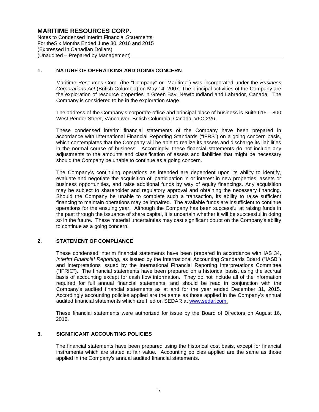Notes to Condensed Interim Financial Statements For theSix Months Ended June 30, 2016 and 2015 (Expressed in Canadian Dollars) (Unaudited – Prepared by Management)

## **1. NATURE OF OPERATIONS AND GOING CONCERN**

Maritime Resources Corp. (the "Company" or "Maritime") was incorporated under the *Business Corporations Act* (British Columbia) on May 14, 2007. The principal activities of the Company are the exploration of resource properties in Green Bay, Newfoundland and Labrador, Canada. The Company is considered to be in the exploration stage.

The address of the Company's corporate office and principal place of business is Suite 615 – 800 West Pender Street, Vancouver, British Columbia, Canada, V6C 2V6.

These condensed interim financial statements of the Company have been prepared in accordance with International Financial Reporting Standards ("IFRS") on a going concern basis, which contemplates that the Company will be able to realize its assets and discharge its liabilities in the normal course of business. Accordingly, these financial statements do not include any adjustments to the amounts and classification of assets and liabilities that might be necessary should the Company be unable to continue as a going concern.

The Company's continuing operations as intended are dependent upon its ability to identify, evaluate and negotiate the acquisition of, participation in or interest in new properties, assets or business opportunities, and raise additional funds by way of equity financings. Any acquisition may be subject to shareholder and regulatory approval and obtaining the necessary financing. Should the Company be unable to complete such a transaction, its ability to raise sufficient financing to maintain operations may be impaired. The available funds are insufficient to continue operations for the ensuing year. Although the Company has been successful at raising funds in the past through the issuance of share capital, it is uncertain whether it will be successful in doing so in the future. These material uncertainties may cast significant doubt on the Company's ability to continue as a going concern.

## **2. STATEMENT OF COMPLIANCE**

These condensed interim financial statements have been prepared in accordance with IAS 34, *Interim Financial Reporting,* as issued by the International Accounting Standards Board ("IASB") and interpretations issued by the International Financial Reporting Interpretations Committee ("IFRIC"). The financial statements have been prepared on a historical basis, using the accrual basis of accounting except for cash flow information. They do not include all of the information required for full annual financial statements, and should be read in conjunction with the Company's audited financial statements as at and for the year ended December 31, 2015. Accordingly accounting policies applied are the same as those applied in the Company's annual audited financial statements which are filed on SEDAR at www.sedar.com.

These financial statements were authorized for issue by the Board of Directors on August 16, 2016.

## **3. SIGNIFICANT ACCOUNTING POLICIES**

The financial statements have been prepared using the historical cost basis, except for financial instruments which are stated at fair value. Accounting policies applied are the same as those applied in the Company's annual audited financial statements.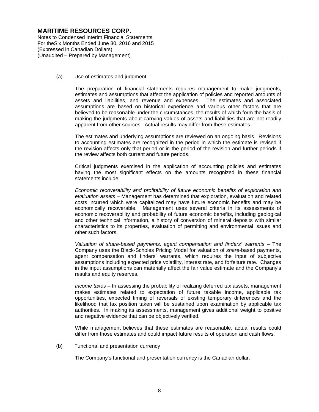Notes to Condensed Interim Financial Statements For theSix Months Ended June 30, 2016 and 2015 (Expressed in Canadian Dollars) (Unaudited – Prepared by Management)

#### (a) Use of estimates and judgment

The preparation of financial statements requires management to make judgments, estimates and assumptions that affect the application of policies and reported amounts of assets and liabilities, and revenue and expenses. The estimates and associated assumptions are based on historical experience and various other factors that are believed to be reasonable under the circumstances, the results of which form the basis of making the judgments about carrying values of assets and liabilities that are not readily apparent from other sources. Actual results may differ from these estimates.

The estimates and underlying assumptions are reviewed on an ongoing basis. Revisions to accounting estimates are recognized in the period in which the estimate is revised if the revision affects only that period or in the period of the revision and further periods if the review affects both current and future periods.

Critical judgments exercised in the application of accounting policies and estimates having the most significant effects on the amounts recognized in these financial statements include:

*Economic recoverability and profitability of future economic benefits of exploration and evaluation assets* – Management has determined that exploration, evaluation and related costs incurred which were capitalized may have future economic benefits and may be economically recoverable. Management uses several criteria in its assessments of economic recoverability and probability of future economic benefits, including geological and other technical information, a history of conversion of mineral deposits with similar characteristics to its properties, evaluation of permitting and environmental issues and other such factors.

*Valuation of share-based payments, agent compensation and finders' warrants* – The Company uses the Black-Scholes Pricing Model for valuation of *share*-based payments, agent compensation and finders' warrants, which requires the input of subjective assumptions including expected price volatility, interest rate, and forfeiture rate. Changes in the input assumptions can materially affect the fair value estimate and the Company's results and equity reserves.

*Income taxes* – In assessing the probability of realizing deferred tax assets, management makes estimates related to expectation of future taxable income, applicable tax opportunities, expected timing of reversals of existing temporary differences and the likelihood that tax position taken will be sustained upon examination by applicable tax authorities. In making its assessments, management gives additional weight to positive and negative evidence that can be objectively verified.

While management believes that these estimates are reasonable, actual results could differ from those estimates and could impact future results of operation and cash flows.

(b) Functional and presentation currency

The Company's functional and presentation currency is the Canadian dollar.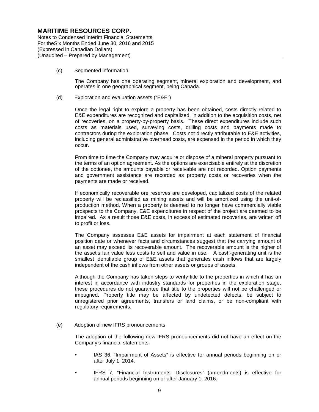Notes to Condensed Interim Financial Statements For theSix Months Ended June 30, 2016 and 2015 (Expressed in Canadian Dollars) (Unaudited – Prepared by Management)

(c) Segmented information

The Company has one operating segment, mineral exploration and development, and operates in one geographical segment, being Canada.

(d) Exploration and evaluation assets ("E&E")

Once the legal right to explore a property has been obtained, costs directly related to E&E expenditures are recognized and capitalized, in addition to the acquisition costs, net of recoveries, on a property-by-property basis. These direct expenditures include such costs as materials used, surveying costs, drilling costs and payments made to contractors during the exploration phase. Costs not directly attributable to E&E activities, including general administrative overhead costs, are expensed in the period in which they occur.

From time to time the Company may acquire or dispose of a mineral property pursuant to the terms of an option agreement. As the options are exercisable entirely at the discretion of the optionee, the amounts payable or receivable are not recorded. Option payments and government assistance are recorded as property costs or recoveries when the payments are made or received.

If economically recoverable ore reserves are developed, capitalized costs of the related property will be reclassified as mining assets and will be amortized using the unit-ofproduction method. When a property is deemed to no longer have commercially viable prospects to the Company, E&E expenditures in respect of the project are deemed to be impaired. As a result those E&E costs, in excess of estimated recoveries, are written off to profit or loss.

The Company assesses E&E assets for impairment at each statement of financial position date or whenever facts and circumstances suggest that the carrying amount of an asset may exceed its recoverable amount. The recoverable amount is the higher of the asset's fair value less costs to sell and value in use. A cash-generating unit is the smallest identifiable group of E&E assets that generates cash inflows that are largely independent of the cash inflows from other assets or groups of assets.

Although the Company has taken steps to verify title to the properties in which it has an interest in accordance with industry standards for properties in the exploration stage, these procedures do not guarantee that title to the properties will not be challenged or impugned. Property title may be affected by undetected defects, be subject to unregistered prior agreements, transfers or land claims, or be non-compliant with regulatory requirements.

(e) Adoption of new IFRS pronouncements

The adoption of the following new IFRS pronouncements did not have an effect on the Company's financial statements:

- IAS 36, "Impairment of Assets" is effective for annual periods beginning on or after July 1, 2014.
- IFRS 7, "Financial Instruments: Disclosures" (amendments) is effective for annual periods beginning on or after January 1, 2016.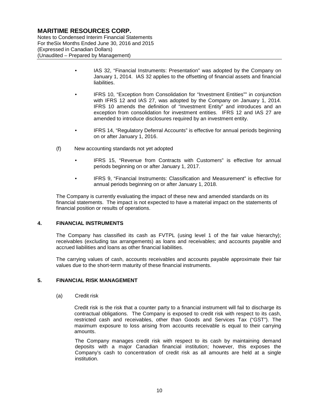Notes to Condensed Interim Financial Statements For theSix Months Ended June 30, 2016 and 2015 (Expressed in Canadian Dollars) (Unaudited – Prepared by Management)

- IAS 32, "Financial Instruments: Presentation" was adopted by the Company on January 1, 2014. IAS 32 applies to the offsetting of financial assets and financial liabilities.
- IFRS 10, "Exception from Consolidation for "Investment Entities"" in conjunction with IFRS 12 and IAS 27, was adopted by the Company on January 1, 2014. IFRS 10 amends the definition of "Investment Entity" and introduces and an exception from consolidation for investment entities. IFRS 12 and IAS 27 are amended to introduce disclosures required by an investment entity.
- IFRS 14, "Regulatory Deferral Accounts" is effective for annual periods beginning on or after January 1, 2016.
- (f) New accounting standards not yet adopted
	- IFRS 15, "Revenue from Contracts with Customers" is effective for annual periods beginning on or after January 1, 2017.
	- IFRS 9, "Financial Instruments: Classification and Measurement" is effective for annual periods beginning on or after January 1, 2018.

The Company is currently evaluating the impact of these new and amended standards on its financial statements. The impact is not expected to have a material impact on the statements of financial position or results of operations.

## **4. FINANCIAL INSTRUMENTS**

The Company has classified its cash as FVTPL (using level 1 of the fair value hierarchy); receivables (excluding tax arrangements) as loans and receivables; and accounts payable and accrued liabilities and loans as other financial liabilities.

The carrying values of cash, accounts receivables and accounts payable approximate their fair values due to the short-term maturity of these financial instruments.

## **5. FINANCIAL RISK MANAGEMENT**

(a) Credit risk

Credit risk is the risk that a counter party to a financial instrument will fail to discharge its contractual obligations. The Company is exposed to credit risk with respect to its cash, restricted cash and receivables, other than Goods and Services Tax ("GST"). The maximum exposure to loss arising from accounts receivable is equal to their carrying amounts.

The Company manages credit risk with respect to its cash by maintaining demand deposits with a major Canadian financial institution; however, this exposes the Company's cash to concentration of credit risk as all amounts are held at a single institution.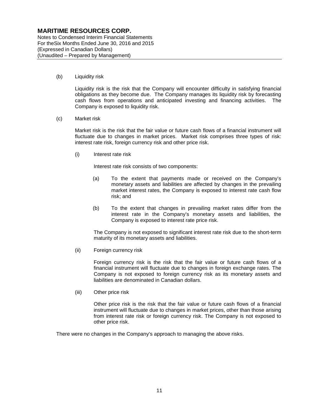Notes to Condensed Interim Financial Statements For theSix Months Ended June 30, 2016 and 2015 (Expressed in Canadian Dollars) (Unaudited – Prepared by Management)

(b) Liquidity risk

Liquidity risk is the risk that the Company will encounter difficulty in satisfying financial obligations as they become due. The Company manages its liquidity risk by forecasting cash flows from operations and anticipated investing and financing activities. The Company is exposed to liquidity risk.

(c) Market risk

Market risk is the risk that the fair value or future cash flows of a financial instrument will fluctuate due to changes in market prices. Market risk comprises three types of risk: interest rate risk, foreign currency risk and other price risk.

(i) Interest rate risk

Interest rate risk consists of two components:

- (a) To the extent that payments made or received on the Company's monetary assets and liabilities are affected by changes in the prevailing market interest rates, the Company is exposed to interest rate cash flow risk; and
- (b) To the extent that changes in prevailing market rates differ from the interest rate in the Company's monetary assets and liabilities, the Company is exposed to interest rate price risk.

The Company is not exposed to significant interest rate risk due to the short-term maturity of its monetary assets and liabilities.

(ii) Foreign currency risk

Foreign currency risk is the risk that the fair value or future cash flows of a financial instrument will fluctuate due to changes in foreign exchange rates. The Company is not exposed to foreign currency risk as its monetary assets and liabilities are denominated in Canadian dollars.

(iii) Other price risk

Other price risk is the risk that the fair value or future cash flows of a financial instrument will fluctuate due to changes in market prices, other than those arising from interest rate risk or foreign currency risk. The Company is not exposed to other price risk.

There were no changes in the Company's approach to managing the above risks.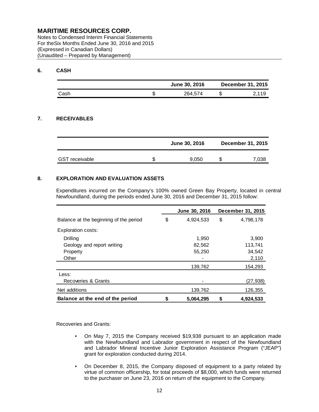Notes to Condensed Interim Financial Statements For theSix Months Ended June 30, 2016 and 2015 (Expressed in Canadian Dollars) (Unaudited – Prepared by Management)

## **6. CASH**

|      |   | June 30, 2016 | <b>December 31, 2015</b> |
|------|---|---------------|--------------------------|
| Cash | æ | 264,574       | 2.119                    |

## **7. RECEIVABLES**

|                       | June 30, 2016 | <b>December 31, 2015</b> |
|-----------------------|---------------|--------------------------|
| <b>GST</b> receivable | 9.050         | 7,038                    |

## **8. EXPLORATION AND EVALUATION ASSETS**

Expenditures incurred on the Company's 100% owned Green Bay Property, located in central Newfoundland, during the periods ended June 30, 2016 and December 31, 2015 follow:

|                                        | June 30, 2016   | December 31, 2015 |
|----------------------------------------|-----------------|-------------------|
| Balance at the beginning of the period | \$<br>4,924,533 | \$<br>4,798,178   |
| Exploration costs:                     |                 |                   |
| Drilling                               | 1,950           | 3,900             |
| Geology and report writing             | 82,562          | 113,741           |
| Property                               | 55,250          | 34,542            |
| Other                                  |                 | 2,110             |
|                                        | 139,762         | 154,293           |
| Less:                                  |                 |                   |
| Recoveries & Grants                    |                 | (27, 938)         |
| Net additions                          | 139,762         | 126,355           |
| Balance at the end of the period       | \$<br>5,064,295 | \$<br>4,924,533   |

Recoveries and Grants:

- On May 7, 2015 the Company received \$19,938 pursuant to an application made with the Newfoundland and Labrador government in respect of the Newfoundland and Labrador Mineral Incentive Junior Exploration Assistance Program ("JEAP") grant for exploration conducted during 2014.
- On December 8, 2015, the Company disposed of equipment to a party related by virtue of common officership, for total proceeds of \$8,000, which funds were returned to the purchaser on June 23, 2016 on return of the equipment to the Company.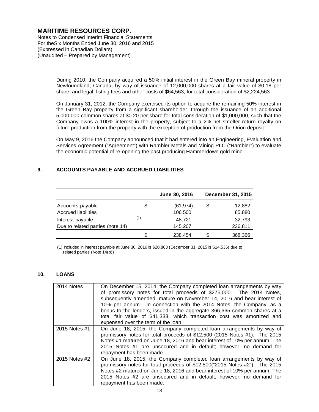Notes to Condensed Interim Financial Statements For theSix Months Ended June 30, 2016 and 2015 (Expressed in Canadian Dollars) (Unaudited – Prepared by Management)

> During 2010, the Company acquired a 50% initial interest in the Green Bay mineral property in Newfoundland, Canada, by way of issuance of 12,000,000 shares at a fair value of \$0.18 per share, and legal, listing fees and other costs of \$64,563, for total consideration of \$2,224,563.

> On January 31, 2012, the Company exercised its option to acquire the remaining 50% interest in the Green Bay property from a significant shareholder, through the issuance of an additional 5,000,000 common shares at \$0.20 per share for total consideration of \$1,000,000, such that the Company owns a 100% interest in the property, subject to a 2% net smelter return royalty on future production from the property with the exception of production from the Orion deposit.

> On May 9, 2016 the Company announced that it had entered into an Engineering, Evaluation and Services Agreement ("Agreement") with Rambler Metals and Mining PLC ("Rambler") to evaluate the economic potential of re-opening the past producing Hammerdown gold mine.

## **9. ACCOUNTS PAYABLE AND ACCRUED LIABILITIES**

|                                                      |     | June 30, 2016        |    | December 31, 2015 |
|------------------------------------------------------|-----|----------------------|----|-------------------|
| Accounts payable<br><b>Accrued liabilities</b>       | \$  | (61, 974)<br>106,500 | \$ | 12,882<br>85,880  |
| Interest payable<br>Due to related parties (note 14) | (1) | 48.721<br>145,207    |    | 32,793<br>236,811 |
|                                                      | S   | 238,454              | S  | 368,366           |

(1) Included in interest payable at June 30, 2016 is \$20,863 (December 31, 2015 is \$14,535) due to related parties (Note 14(b))

## **10. LOANS**

| 2014 Notes    | On December 15, 2014, the Company completed loan arrangements by way<br>of promissory notes for total proceeds of \$275,000. The 2014 Notes,<br>subsequently amended, mature on November 14, 2016 and bear interest of<br>10% per annum. In connection with the 2014 Notes, the Company, as a<br>bonus to the lenders, issued in the aggregate 366,665 common shares at a<br>total fair value of \$41,333, which transaction cost was amortized and<br>expensed over the term of the loan. |
|---------------|--------------------------------------------------------------------------------------------------------------------------------------------------------------------------------------------------------------------------------------------------------------------------------------------------------------------------------------------------------------------------------------------------------------------------------------------------------------------------------------------|
| 2015 Notes #1 | On June 18, 2015, the Company completed loan arrangements by way of<br>promissory notes for total proceeds of \$12,500 (2015 Notes #1). The 2015<br>Notes #1 matured on June 18, 2016 and bear interest of 10% per annum. The<br>2015 Notes #1 are unsecured and in default; however, no demand for<br>repayment has been made.                                                                                                                                                            |
| 2015 Notes #2 | On June 18, 2015, the Company completed loan arrangements by way of<br>promissory notes for total proceeds of \$12,500("2015 Notes #2"). The 2015<br>Notes #2 matured on June 18, 2016 and bear interest of 10% per annum. The<br>2015 Notes #2 are unsecured and in default; however, no demand for<br>repayment has been made.                                                                                                                                                           |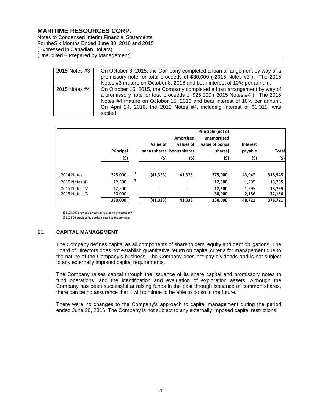Notes to Condensed Interim Financial Statements For theSix Months Ended June 30, 2016 and 2015 (Expressed in Canadian Dollars) (Unaudited – Prepared by Management)

| 2015 Notes #3 | On October 8, 2015, the Company completed a loan arrangement by way of a<br>promissory note for total proceeds of \$30,000 ("2015 Notes #3"). The 2015<br>Notes #3 mature on October 8, 2016 and bear interest of 10% per annum.                                                                                           |
|---------------|----------------------------------------------------------------------------------------------------------------------------------------------------------------------------------------------------------------------------------------------------------------------------------------------------------------------------|
| 2015 Notes #4 | On October 15, 2015, the Company completed a loan arrangement by way of<br>a promissory note for total proceeds of \$25,000 ("2015 Notes #4"). The 2015<br>Notes #4 mature on October 15, 2016 and bear interest of 10% per annum.<br>On April 24, 2016, the 2015 Notes #4, including interest of \$1,315, was<br>settled. |

|                                | Principal<br>(\$) |     | Value of<br>(\$)              | Amortized<br>values of<br>bonus shares bonus shares<br>(\$) | Principle (net of<br>unamortized<br>value of bonus<br>shares)<br>(\$) | <b>Interest</b><br>payable<br>(\$) | <b>Total</b><br>(\$) |
|--------------------------------|-------------------|-----|-------------------------------|-------------------------------------------------------------|-----------------------------------------------------------------------|------------------------------------|----------------------|
|                                |                   |     |                               |                                                             |                                                                       |                                    |                      |
| 2014 Notes                     | 275,000           | (1) | (41, 333)                     | 41,333                                                      | 275,000                                                               | 43,945                             | 318,945              |
| 2015 Notes #1                  | 12,500            | (2) | ٠                             | $\overline{\phantom{a}}$                                    | 12,500                                                                | 1,295                              | 13,795               |
| 2015 Notes #2<br>2015 Notes #3 | 12,500<br>30,000  |     | $\overline{\phantom{a}}$<br>- | $\overline{\phantom{a}}$                                    | 12,500<br>30,000                                                      | 1,295<br>2,186                     | 13,795<br>32,186     |
|                                | 330,000           |     | (41,333)                      | 41,333                                                      | 330,000                                                               | 48,721                             | 378,721              |

(1) \$125,000 provided by parties related to the company

(2) \$12,500 provided by parties related to the company

## **11. CAPITAL MANAGEMENT**

The Company defines capital as all components of shareholders' equity and debt obligations. The Board of Directors does not establish quantitative return on capital criteria for management due to the nature of the Company's business. The Company does not pay dividends and is not subject to any externally imposed capital requirements.

The Company raises capital through the issuance of its share capital and promissory notes to fund operations, and the identification and evaluation of exploration assets. Although the Company has been successful at raising funds in the past through issuance of common shares, there can be no assurance that it will continue to be able to do so in the future.

There were no changes to the Company's approach to capital management during the period ended June 30, 2016. The Company is not subject to any externally imposed capital restrictions.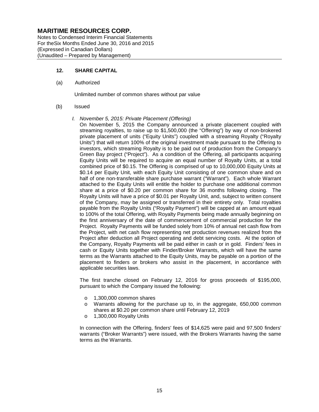Notes to Condensed Interim Financial Statements For theSix Months Ended June 30, 2016 and 2015 (Expressed in Canadian Dollars) (Unaudited – Prepared by Management)

#### **12. SHARE CAPITAL**

(a) Authorized

Unlimited number of common shares without par value

#### (b) Issued

#### *I. November 5, 2015: Private Placement (Offering)*

On November 5, 2015 the Company announced a private placement coupled with streaming royalties, to raise up to \$1,500,000 (the "Offering") by way of non-brokered private placement of units ("Equity Units") coupled with a streaming Royalty ("Royalty Units") that will return 100% of the original investment made pursuant to the Offering to investors, which streaming Royalty is to be paid out of production from the Company's Green Bay project ("Project"). As a condition of the Offering, all participants acquiring Equity Units will be required to acquire an equal number of Royalty Units, at a total combined price of \$0.15. The Offering is comprised of up to 10,000,000 Equity Units at \$0.14 per Equity Unit, with each Equity Unit consisting of one common share and on half of one non-transferable share purchase warrant ("Warrant"). Each whole Warrant attached to the Equity Units will entitle the holder to purchase one additional common share at a price of \$0.20 per common share for 36 months following closing. The Royalty Units will have a price of \$0.01 per Royalty Unit, and, subject to written consent of the Company, may be assigned or transferred in their entirety only. Total royalties payable from the Royalty Units ("Royalty Payment") will be capped at an amount equal to 100% of the total Offering, with Royalty Payments being made annually beginning on the first anniversary of the date of commencement of commercial production for the Project. Royalty Payments will be funded solely from 10% of annual net cash flow from the Project, with net cash flow representing net production revenues realized from the Project after deduction all Project operating and debt servicing costs. At the option of the Company, Royalty Payments will be paid either in cash or in gold. Finders' fees in cash or Equity Units together with Finder/Broker Warrants, which will have the same terms as the Warrants attached to the Equity Units, may be payable on a portion of the placement to finders or brokers who assist in the placement, in accordance with applicable securities laws.

The first tranche closed on February 12, 2016 for gross proceeds of \$195,000, pursuant to which the Company issued the following:

- o 1,300,000 common shares
- o Warrants allowing for the purchase up to, in the aggregate, 650,000 common shares at \$0.20 per common share until February 12, 2019
- o 1,300,000 Royalty Units

In connection with the Offering, finders' fees of \$14,625 were paid and 97,500 finders' warrants ("Broker Warrants") were issued, with the Brokers Warrants having the same terms as the Warrants.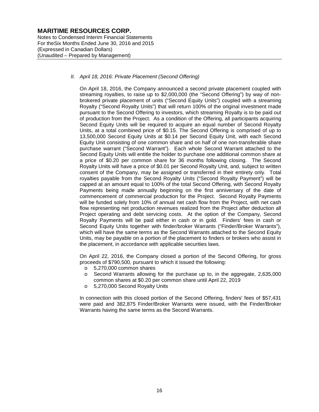Notes to Condensed Interim Financial Statements For theSix Months Ended June 30, 2016 and 2015 (Expressed in Canadian Dollars) (Unaudited – Prepared by Management)

#### *II. April 18, 2016: Private Placement (Second Offering)*

On April 18, 2016, the Company announced a second private placement coupled with streaming royalties, to raise up to \$2,000,000 (the "Second Offering") by way of nonbrokered private placement of units ("Second Equity Units") coupled with a streaming Royalty ("Second Royalty Units") that will return 100% of the original investment made pursuant to the Second Offering to investors, which streaming Royalty is to be paid out of production from the Project. As a condition of the Offering, all participants acquiring Second Equity Units will be required to acquire an equal number of Second Royalty Units, at a total combined price of \$0.15. The Second Offering is comprised of up to 13,500,000 Second Equity Units at \$0.14 per Second Equity Unit, with each Second Equity Unit consisting of one common share and on half of one non-transferable share purchase warrant ("Second Warrant"). Each whole Second Warrant attached to the Second Equity Units will entitle the holder to purchase one additional common share at a price of \$0.20 per common share for 36 months following closing. The Second Royalty Units will have a price of \$0.01 per Second Royalty Unit, and, subject to written consent of the Company, may be assigned or transferred in their entirety only. Total royalties payable from the Second Royalty Units ("Second Royalty Payment") will be capped at an amount equal to 100% of the total Second Offering, with Second Royalty Payments being made annually beginning on the first anniversary of the date of commencement of commercial production for the Project. Second Royalty Payments will be funded solely from 10% of annual net cash flow from the Project, with net cash flow representing net production revenues realized from the Project after deduction all Project operating and debt servicing costs. At the option of the Company, Second Royalty Payments will be paid either in cash or in gold. Finders' fees in cash or Second Equity Units together with finder/broker Warrants ("Finder/Broker Warrants"), which will have the same terms as the Second Warrants attached to the Second Equity Units, may be payable on a portion of the placement to finders or brokers who assist in the placement, in accordance with applicable securities laws.

On April 22, 2016, the Company closed a portion of the Second Offering, for gross proceeds of \$790,500, pursuant to which it issued the following:

- o 5,270,000 common shares
- Second Warrants allowing for the purchase up to, in the aggregate, 2,635,000 common shares at \$0.20 per common share until April 22, 2019
- o 5,270,000 Second Royalty Units

In connection with this closed portion of the Second Offering, finders' fees of \$57,431 were paid and 382,875 Finder/Broker Warrants were issued, with the Finder/Broker Warrants having the same terms as the Second Warrants.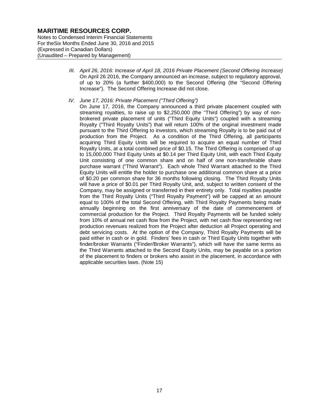Notes to Condensed Interim Financial Statements For theSix Months Ended June 30, 2016 and 2015 (Expressed in Canadian Dollars) (Unaudited – Prepared by Management)

- *III. April 26, 2016: Increase of April 18, 2016 Private Placement (Second Offering Increase)* On April 26 2016, the Company announced an increase, subject to regulatory approval, of up to 20% (a further \$400,000) to the Second Offering (the "Second Offering Increase"). The Second Offering Increase did not close.
- *IV. June 17, 2016: Private Placement ("Third Offering")*
	- On June 17, 2016, the Company announced a third private placement coupled with streaming royalties, to raise up to \$2,250,000 (the "Third Offering") by way of nonbrokered private placement of units ("Third Equity Units") coupled with a streaming Royalty ("Third Royalty Units") that will return 100% of the original investment made pursuant to the Third Offering to investors, which streaming Royalty is to be paid out of production from the Project. As a condition of the Third Offering, all participants acquiring Third Equity Units will be required to acquire an equal number of Third Royalty Units, at a total combined price of \$0.15. The Third Offering is comprised of up to 15,000,000 Third Equity Units at \$0.14 per Third Equity Unit, with each Third Equity Unit consisting of one common share and on half of one non-transferable share purchase warrant ("Third Warrant"). Each whole Third Warrant attached to the Third Equity Units will entitle the holder to purchase one additional common share at a price of \$0.20 per common share for 36 months following closing. The Third Royalty Units will have a price of \$0.01 per Third Royalty Unit, and, subject to written consent of the Company, may be assigned or transferred in their entirety only. Total royalties payable from the Third Royalty Units ("Third Royalty Payment") will be capped at an amount equal to 100% of the total Second Offering, with Third Royalty Payments being made annually beginning on the first anniversary of the date of commencement of commercial production for the Project. Third Royalty Payments will be funded solely from 10% of annual net cash flow from the Project, with net cash flow representing net production revenues realized from the Project after deduction all Project operating and debt servicing costs. At the option of the Company, Third Royalty Payments will be paid either in cash or in gold. Finders' fees in cash or Third Equity Units together with finder/broker Warrants ("Finder/Broker Warrants"), which will have the same terms as the Third Warrants attached to the Second Equity Units, may be payable on a portion of the placement to finders or brokers who assist in the placement, in accordance with applicable securities laws. (Note 15)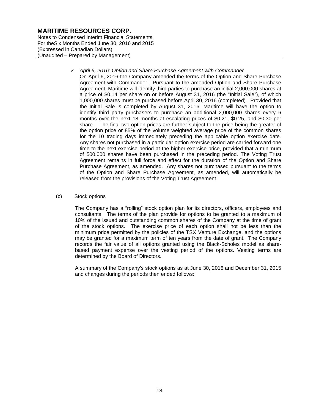Notes to Condensed Interim Financial Statements For theSix Months Ended June 30, 2016 and 2015 (Expressed in Canadian Dollars) (Unaudited – Prepared by Management)

- *V. April 6, 2016: Option and Share Purchase Agreement with Commander*
	- On April 6, 2016 the Company amended the terms of the Option and Share Purchase Agreement with Commander. Pursuant to the amended Option and Share Purchase Agreement, Maritime will identify third parties to purchase an initial 2,000,000 shares at a price of \$0.14 per share on or before August 31, 2016 (the "Initial Sale"), of which 1,000,000 shares must be purchased before April 30, 2016 (completed). Provided that the Initial Sale is completed by August 31, 2016, Maritime will have the option to identify third party purchasers to purchase an additional 2,000,000 shares every 6 months over the next 18 months at escalating prices of \$0.21, \$0.25, and \$0.30 per share. The final two option prices are further subject to the price being the greater of the option price or 85% of the volume weighted average price of the common shares for the 10 trading days immediately preceding the applicable option exercise date. Any shares not purchased in a particular option exercise period are carried forward one time to the next exercise period at the higher exercise price, provided that a minimum of 500,000 shares have been purchased in the preceding period. The Voting Trust Agreement remains in full force and effect for the duration of the Option and Share Purchase Agreement, as amended. Any shares not purchased pursuant to the terms of the Option and Share Purchase Agreement, as amended, will automatically be released from the provisions of the Voting Trust Agreement.

#### (c) Stock options

The Company has a "rolling" stock option plan for its directors, officers, employees and consultants. The terms of the plan provide for options to be granted to a maximum of 10% of the issued and outstanding common shares of the Company at the time of grant of the stock options. The exercise price of each option shall not be less than the minimum price permitted by the policies of the TSX Venture Exchange, and the options may be granted for a maximum term of ten years from the date of grant. The Company records the fair value of all options granted using the Black-Scholes model as sharebased payment expense over the vesting period of the options. Vesting terms are determined by the Board of Directors.

A summary of the Company's stock options as at June 30, 2016 and December 31, 2015 and changes during the periods then ended follows: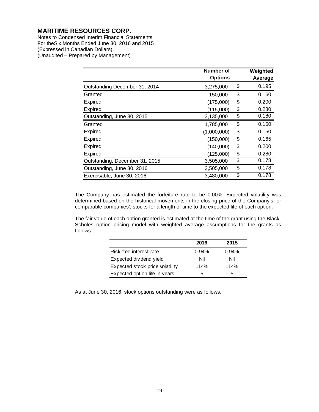Notes to Condensed Interim Financial Statements For theSix Months Ended June 30, 2016 and 2015 (Expressed in Canadian Dollars) (Unaudited – Prepared by Management)

|                                | Number of<br><b>Options</b> | Weighted<br>Average |
|--------------------------------|-----------------------------|---------------------|
| Outstanding December 31, 2014  | 3,275,000                   | \$<br>0.195         |
| Granted                        | 150,000                     | \$<br>0.160         |
| Expired                        | (175,000)                   | \$<br>0.200         |
| <b>Expired</b>                 | (115,000)                   | \$<br>0.280         |
| Outstanding, June 30, 2015     | 3,135,000                   | \$<br>0.180         |
| Granted                        | 1,785,000                   | \$<br>0.150         |
| <b>Expired</b>                 | (1,000,000)                 | \$<br>0.150         |
| Expired                        | (150,000)                   | \$<br>0.165         |
| <b>Expired</b>                 | (140,000)                   | \$<br>0.200         |
| <b>Expired</b>                 | (125,000)                   | \$<br>0.280         |
| Outstanding, December 31, 2015 | 3,505,000                   | \$<br>0.178         |
| Outstanding, June 30, 2016     | 3,505,000                   | \$<br>0.178         |
| Exercisable, June 30, 2016     | 3,480,000                   | \$<br>0.178         |

The Company has estimated the forfeiture rate to be 0.00%. Expected volatility was determined based on the historical movements in the closing price of the Company's, or comparable companies', stocks for a length of time to the expected life of each option.

The fair value of each option granted is estimated at the time of the grant using the Black-Scholes option pricing model with weighted average assumptions for the grants as follows:

|                                 | 2016  | 2015  |
|---------------------------------|-------|-------|
| Risk-free interest rate         | 0.94% | 0.94% |
| Expected dividend yield         | Nil   | Nil   |
| Expected stock price volatility | 114%  | 114%  |
| Expected option life in years   | 5     | 5     |

As at June 30, 2016, stock options outstanding were as follows: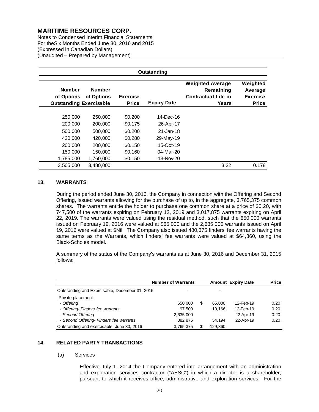Notes to Condensed Interim Financial Statements For theSix Months Ended June 30, 2016 and 2015 (Expressed in Canadian Dollars) (Unaudited – Prepared by Management)

| Outstanding                                                   |                             |                                 |                    |                                                                             |                                                        |  |  |
|---------------------------------------------------------------|-----------------------------|---------------------------------|--------------------|-----------------------------------------------------------------------------|--------------------------------------------------------|--|--|
| <b>Number</b><br>of Options<br><b>Outstanding Exercisable</b> | <b>Number</b><br>of Options | <b>Exercise</b><br><b>Price</b> | <b>Expiry Date</b> | <b>Weighted Average</b><br>Remaining<br><b>Contractual Life in</b><br>Years | Weighted<br>Average<br><b>Exercise</b><br><b>Price</b> |  |  |
|                                                               |                             |                                 |                    |                                                                             |                                                        |  |  |
| 250,000                                                       | 250,000                     | \$0.200                         | 14-Dec-16          |                                                                             |                                                        |  |  |
| 200,000                                                       | 200,000                     | \$0.175                         | 26-Apr-17          |                                                                             |                                                        |  |  |
| 500,000                                                       | 500,000                     | \$0.200                         | 21-Jan-18          |                                                                             |                                                        |  |  |
| 420,000                                                       | 420,000                     | \$0.280                         | 29-May-19          |                                                                             |                                                        |  |  |
| 200,000                                                       | 200,000                     | \$0.150                         | 15-Oct-19          |                                                                             |                                                        |  |  |
| 150,000                                                       | 150,000                     | \$0.160                         | 04-Mar-20          |                                                                             |                                                        |  |  |
| 1,785,000                                                     | 1,760,000                   | \$0.150                         | 13-Nov-20          |                                                                             |                                                        |  |  |
| 3,505,000                                                     | 3.480.000                   |                                 |                    | 3.22                                                                        | 0.178                                                  |  |  |

#### **13. WARRANTS**

During the period ended June 30, 2016, the Company in connection with the Offering and Second Offering, issued warrants allowing for the purchase of up to, in the aggregate, 3,765,375 common shares. The warrants entitle the holder to purchase one common share at a price of \$0.20, with 747,500 of the warrants expiring on February 12, 2019 and 3,017,875 warrants expiring on April 22, 2019. The warrants were valued using the residual method, such that the 650,000 warrants issued on February 19, 2016 were valued at \$65,000 and the 2,635,000 warrants issued on April 19, 2016 were valued at \$Nil. The Company also issued 480,375 finders' fee warrants having the same terms as the Warrants, which finders' fee warrants were valued at \$64,360, using the Black-Scholes model.

A summary of the status of the Company's warrants as at June 30, 2016 and December 31, 2015 follows:

|                                                | <b>Number of Warrants</b> |   | <b>Amount Expiry Date</b> | <b>Price</b> |      |
|------------------------------------------------|---------------------------|---|---------------------------|--------------|------|
| Outstanding and Exercisable, December 31, 2015 |                           |   | ۰                         |              |      |
| Private placement                              |                           |   |                           |              |      |
| - Offering                                     | 650,000                   | S | 65,000                    | 12-Feb-19    | 0.20 |
| - Offering- Finders fee warrants               | 97.500                    |   | 10.166                    | 12-Feb-19    | 0.20 |
| - Second Offering                              | 2,635,000                 |   | ۰                         | 22-Apr-19    | 0.20 |
| - Second Offering- Finders fee warrants        | 382,875                   |   | 54,194                    | 22-Apr-19    | 0.20 |
| Outstanding and exercisable, June 30, 2016     | 3,765,375                 | S | 129,360                   |              |      |

### **14. RELATED PARTY TRANSACTIONS**

#### (a) Services

Effective July 1, 2014 the Company entered into arrangement with an administration and exploration services contractor ("AESC") in which a director is a shareholder, pursuant to which it receives office, administrative and exploration services. For the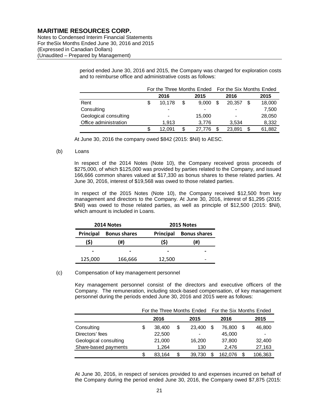Notes to Condensed Interim Financial Statements For theSix Months Ended June 30, 2016 and 2015 (Expressed in Canadian Dollars) (Unaudited – Prepared by Management)

> period ended June 30, 2016 and 2015, the Company was charged for exploration costs and to reimburse office and administrative costs as follows:

|                       | For the Three Months Ended For the Six Months Ended |                          |    |        |    |        |     |        |
|-----------------------|-----------------------------------------------------|--------------------------|----|--------|----|--------|-----|--------|
|                       |                                                     | 2016                     |    | 2015   |    | 2016   |     | 2015   |
| Rent                  |                                                     | 10.178                   | \$ | 9.000  | ß. | 20.357 | \$. | 18,000 |
| Consulting            |                                                     |                          |    |        |    |        |     | 7,500  |
| Geological consulting |                                                     | $\overline{\phantom{0}}$ |    | 15,000 |    |        |     | 28,050 |
| Office administration |                                                     | 1.913                    |    | 3.776  |    | 3.534  |     | 8,332  |
|                       | S                                                   | 12.091                   |    | 27.776 |    | 23,891 | S   | 61,882 |

At June 30, 2016 the company owed \$842 (2015: \$Nil) to AESC.

#### (b) Loans

In respect of the 2014 Notes (Note 10), the Company received gross proceeds of \$275,000, of which \$125,000 was provided by parties related to the Company, and issued 166,666 common shares valued at \$17,330 as bonus shares to these related parties. At June 30, 2016, interest of \$19,568 was owed to those related parties.

In respect of the 2015 Notes (Note 10), the Company received \$12,500 from key management and directors to the Company. At June 30, 2016, interest of \$1,295 (2015: \$Nil) was owed to those related parties, as well as principle of \$12,500 (2015: \$Nil), which amount is included in Loans.

|           | 2014 Notes          |        | 2015 Notes          |  |  |  |
|-----------|---------------------|--------|---------------------|--|--|--|
| Principal | <b>Bonus shares</b> |        | <b>Bonus shares</b> |  |  |  |
| (S)       | (#)                 | (S)    | (#)                 |  |  |  |
| -         |                     |        |                     |  |  |  |
| 125,000   | 166,666             | 12,500 |                     |  |  |  |

#### (c) Compensation of key management personnel

Key management personnel consist of the directors and executive officers of the Company. The remuneration, including stock-based compensation, of key management personnel during the periods ended June 30, 2016 and 2015 were as follows:

|                       | For the Three Months Ended For the Six Months Ended |        |    |        |  |         |  |         |
|-----------------------|-----------------------------------------------------|--------|----|--------|--|---------|--|---------|
|                       |                                                     | 2016   |    | 2015   |  | 2016    |  | 2015    |
| Consulting            | \$                                                  | 38,400 | S  | 23,400 |  | 76,800  |  | 46,800  |
| Directors' fees       |                                                     | 22,500 |    |        |  | 45,000  |  |         |
| Geological consulting |                                                     | 21,000 |    | 16,200 |  | 37,800  |  | 32,400  |
| Share-based payments  |                                                     | 1,264  |    | 130    |  | 2.476   |  | 27,163  |
|                       | S                                                   | 83.164 | \$ | 39,730 |  | 162.076 |  | 106,363 |

At June 30, 2016, in respect of services provided to and expenses incurred on behalf of the Company during the period ended June 30, 2016, the Company owed \$7,875 (2015: